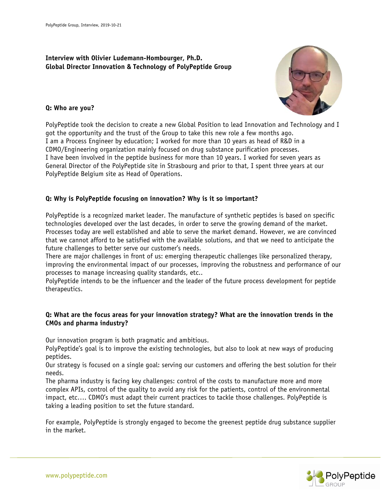# **Interview with Olivier Ludemann-Hombourger, Ph.D. Global Director Innovation & Technology of PolyPeptide Group**



#### **Q: Who are you?**

PolyPeptide took the decision to create a new Global Position to lead Innovation and Technology and I got the opportunity and the trust of the Group to take this new role a few months ago. I am a Process Engineer by education; I worked for more than 10 years as head of R&D in a CDMO/Engineering organization mainly focused on drug substance purification processes. I have been involved in the peptide business for more than 10 years. I worked for seven years as General Director of the PolyPeptide site in Strasbourg and prior to that, I spent three years at our PolyPeptide Belgium site as Head of Operations.

## **Q: Why is PolyPeptide focusing on innovation? Why is it so important?**

PolyPeptide is a recognized market leader. The manufacture of synthetic peptides is based on specific technologies developed over the last decades, in order to serve the growing demand of the market. Processes today are well established and able to serve the market demand. However, we are convinced that we cannot afford to be satisfied with the available solutions, and that we need to anticipate the future challenges to better serve our customer's needs.

There are major challenges in front of us: emerging therapeutic challenges like personalized therapy, improving the environmental impact of our processes, improving the robustness and performance of our processes to manage increasing quality standards, etc..

PolyPeptide intends to be the influencer and the leader of the future process development for peptide therapeutics.

## **Q: What are the focus areas for your innovation strategy? What are the innovation trends in the CMOs and pharma industry?**

Our innovation program is both pragmatic and ambitious.

PolyPeptide's goal is to improve the existing technologies, but also to look at new ways of producing peptides.

Our strategy is focused on a single goal: serving our customers and offering the best solution for their needs.

The pharma industry is facing key challenges: control of the costs to manufacture more and more complex APIs, control of the quality to avoid any risk for the patients, control of the environmental impact, etc…. CDMO's must adapt their current practices to tackle those challenges. PolyPeptide is taking a leading position to set the future standard.

For example, PolyPeptide is strongly engaged to become the greenest peptide drug substance supplier in the market.

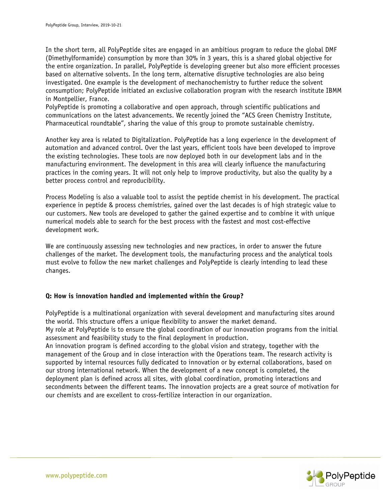In the short term, all PolyPeptide sites are engaged in an ambitious program to reduce the global DMF (Dimethylformamide) consumption by more than 30% in 3 years, this is a shared global objective for the entire organization. In parallel, PolyPeptide is developing greener but also more efficient processes based on alternative solvents. In the long term, alternative disruptive technologies are also being investigated. One example is the development of mechanochemistry to further reduce the solvent consumption; PolyPeptide initiated an exclusive collaboration program with the research institute IBMM in Montpellier, France.

PolyPeptide is promoting a collaborative and open approach, through scientific publications and communications on the latest advancements. We recently joined the "ACS Green Chemistry Institute, Pharmaceutical roundtable", sharing the value of this group to promote sustainable chemistry.

Another key area is related to Digitalization. PolyPeptide has a long experience in the development of automation and advanced control. Over the last years, efficient tools have been developed to improve the existing technologies. These tools are now deployed both in our development labs and in the manufacturing environment. The development in this area will clearly influence the manufacturing practices in the coming years. It will not only help to improve productivity, but also the quality by a better process control and reproducibility.

Process Modeling is also a valuable tool to assist the peptide chemist in his development. The practical experience in peptide & process chemistries, gained over the last decades is of high strategic value to our customers. New tools are developed to gather the gained expertise and to combine it with unique numerical models able to search for the best process with the fastest and most cost-effective development work.

We are continuously assessing new technologies and new practices, in order to answer the future challenges of the market. The development tools, the manufacturing process and the analytical tools must evolve to follow the new market challenges and PolyPeptide is clearly intending to lead these changes.

#### **Q: How is innovation handled and implemented within the Group?**

PolyPeptide is a multinational organization with several development and manufacturing sites around the world. This structure offers a unique flexibility to answer the market demand.

My role at PolyPeptide is to ensure the global coordination of our innovation programs from the initial assessment and feasibility study to the final deployment in production.

An innovation program is defined according to the global vision and strategy, together with the management of the Group and in close interaction with the Operations team. The research activity is supported by internal resources fully dedicated to innovation or by external collaborations, based on our strong international network. When the development of a new concept is completed, the deployment plan is defined across all sites, with global coordination, promoting interactions and secondments between the different teams. The innovation projects are a great source of motivation for our chemists and are excellent to cross-fertilize interaction in our organization.